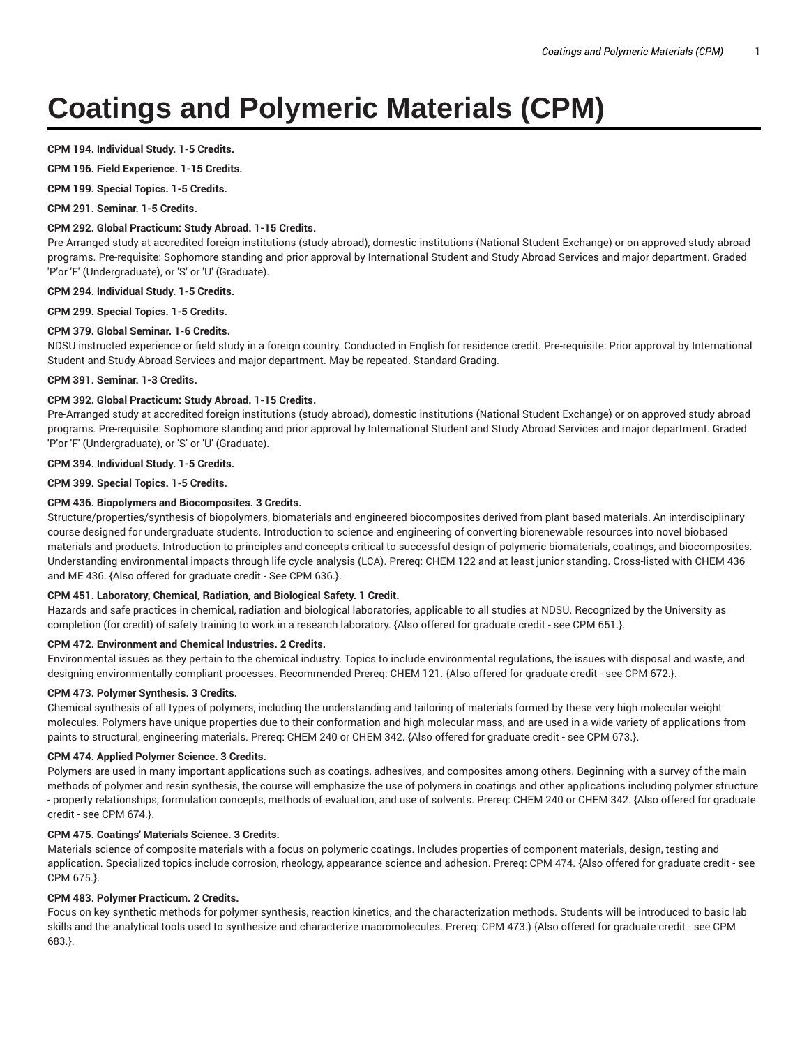# **Coatings and Polymeric Materials (CPM)**

## **CPM 194. Individual Study. 1-5 Credits.**

**CPM 196. Field Experience. 1-15 Credits.**

**CPM 199. Special Topics. 1-5 Credits.**

**CPM 291. Seminar. 1-5 Credits.**

# **CPM 292. Global Practicum: Study Abroad. 1-15 Credits.**

Pre-Arranged study at accredited foreign institutions (study abroad), domestic institutions (National Student Exchange) or on approved study abroad programs. Pre-requisite: Sophomore standing and prior approval by International Student and Study Abroad Services and major department. Graded 'P'or 'F' (Undergraduate), or 'S' or 'U' (Graduate).

## **CPM 294. Individual Study. 1-5 Credits.**

**CPM 299. Special Topics. 1-5 Credits.**

## **CPM 379. Global Seminar. 1-6 Credits.**

NDSU instructed experience or field study in a foreign country. Conducted in English for residence credit. Pre-requisite: Prior approval by International Student and Study Abroad Services and major department. May be repeated. Standard Grading.

## **CPM 391. Seminar. 1-3 Credits.**

# **CPM 392. Global Practicum: Study Abroad. 1-15 Credits.**

Pre-Arranged study at accredited foreign institutions (study abroad), domestic institutions (National Student Exchange) or on approved study abroad programs. Pre-requisite: Sophomore standing and prior approval by International Student and Study Abroad Services and major department. Graded 'P'or 'F' (Undergraduate), or 'S' or 'U' (Graduate).

**CPM 394. Individual Study. 1-5 Credits.**

**CPM 399. Special Topics. 1-5 Credits.**

# **CPM 436. Biopolymers and Biocomposites. 3 Credits.**

Structure/properties/synthesis of biopolymers, biomaterials and engineered biocomposites derived from plant based materials. An interdisciplinary course designed for undergraduate students. Introduction to science and engineering of converting biorenewable resources into novel biobased materials and products. Introduction to principles and concepts critical to successful design of polymeric biomaterials, coatings, and biocomposites. Understanding environmental impacts through life cycle analysis (LCA). Prereq: CHEM 122 and at least junior standing. Cross-listed with CHEM 436 and ME 436. {Also offered for graduate credit - See CPM 636.}.

## **CPM 451. Laboratory, Chemical, Radiation, and Biological Safety. 1 Credit.**

Hazards and safe practices in chemical, radiation and biological laboratories, applicable to all studies at NDSU. Recognized by the University as completion (for credit) of safety training to work in a research laboratory. {Also offered for graduate credit - see CPM 651.}.

## **CPM 472. Environment and Chemical Industries. 2 Credits.**

Environmental issues as they pertain to the chemical industry. Topics to include environmental regulations, the issues with disposal and waste, and designing environmentally compliant processes. Recommended Prereq: CHEM 121. {Also offered for graduate credit - see CPM 672.}.

## **CPM 473. Polymer Synthesis. 3 Credits.**

Chemical synthesis of all types of polymers, including the understanding and tailoring of materials formed by these very high molecular weight molecules. Polymers have unique properties due to their conformation and high molecular mass, and are used in a wide variety of applications from paints to structural, engineering materials. Prereq: CHEM 240 or CHEM 342. {Also offered for graduate credit - see CPM 673.}.

## **CPM 474. Applied Polymer Science. 3 Credits.**

Polymers are used in many important applications such as coatings, adhesives, and composites among others. Beginning with a survey of the main methods of polymer and resin synthesis, the course will emphasize the use of polymers in coatings and other applications including polymer structure - property relationships, formulation concepts, methods of evaluation, and use of solvents. Prereq: CHEM 240 or CHEM 342. {Also offered for graduate credit - see CPM 674.}.

# **CPM 475. Coatings' Materials Science. 3 Credits.**

Materials science of composite materials with a focus on polymeric coatings. Includes properties of component materials, design, testing and application. Specialized topics include corrosion, rheology, appearance science and adhesion. Prereq: CPM 474. {Also offered for graduate credit - see CPM 675.}.

# **CPM 483. Polymer Practicum. 2 Credits.**

Focus on key synthetic methods for polymer synthesis, reaction kinetics, and the characterization methods. Students will be introduced to basic lab skills and the analytical tools used to synthesize and characterize macromolecules. Prereq: CPM 473.) {Also offered for graduate credit - see CPM 683.}.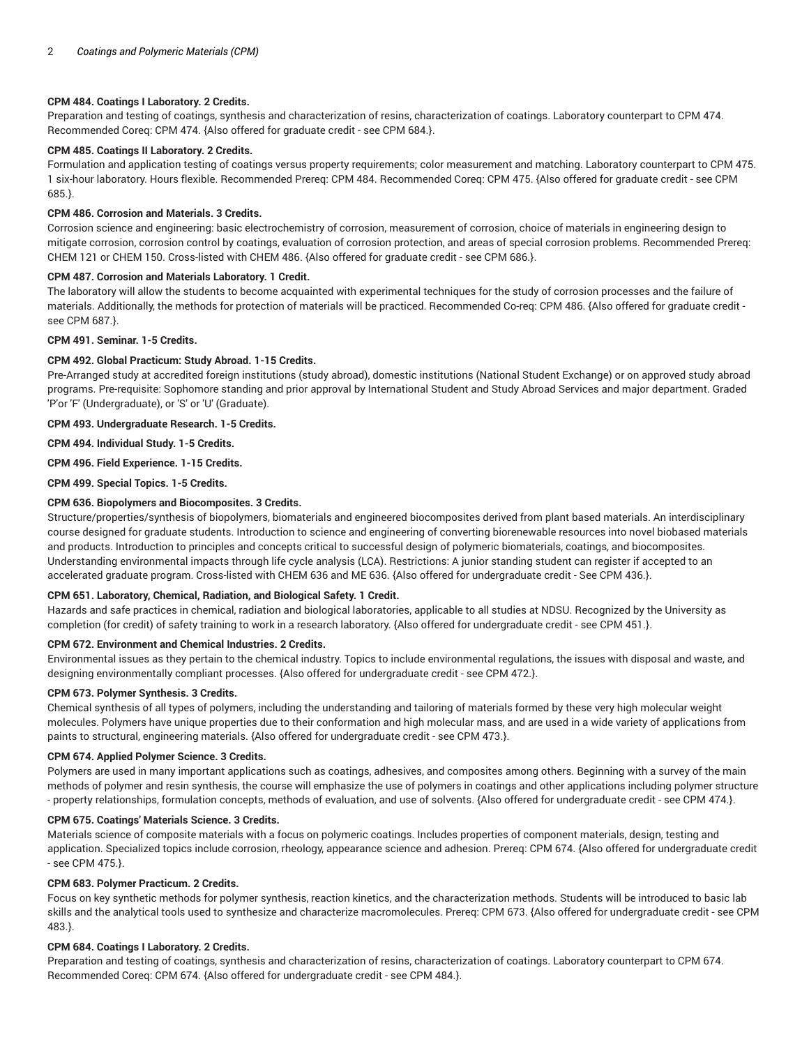# **CPM 484. Coatings I Laboratory. 2 Credits.**

Preparation and testing of coatings, synthesis and characterization of resins, characterization of coatings. Laboratory counterpart to CPM 474. Recommended Coreq: CPM 474. {Also offered for graduate credit - see CPM 684.}.

# **CPM 485. Coatings II Laboratory. 2 Credits.**

Formulation and application testing of coatings versus property requirements; color measurement and matching. Laboratory counterpart to CPM 475. 1 six-hour laboratory. Hours flexible. Recommended Prereq: CPM 484. Recommended Coreq: CPM 475. {Also offered for graduate credit - see CPM 685.}.

## **CPM 486. Corrosion and Materials. 3 Credits.**

Corrosion science and engineering: basic electrochemistry of corrosion, measurement of corrosion, choice of materials in engineering design to mitigate corrosion, corrosion control by coatings, evaluation of corrosion protection, and areas of special corrosion problems. Recommended Prereq: CHEM 121 or CHEM 150. Cross-listed with CHEM 486. {Also offered for graduate credit - see CPM 686.}.

## **CPM 487. Corrosion and Materials Laboratory. 1 Credit.**

The laboratory will allow the students to become acquainted with experimental techniques for the study of corrosion processes and the failure of materials. Additionally, the methods for protection of materials will be practiced. Recommended Co-req: CPM 486. {Also offered for graduate credit see CPM 687.}.

# **CPM 491. Seminar. 1-5 Credits.**

# **CPM 492. Global Practicum: Study Abroad. 1-15 Credits.**

Pre-Arranged study at accredited foreign institutions (study abroad), domestic institutions (National Student Exchange) or on approved study abroad programs. Pre-requisite: Sophomore standing and prior approval by International Student and Study Abroad Services and major department. Graded 'P'or 'F' (Undergraduate), or 'S' or 'U' (Graduate).

# **CPM 493. Undergraduate Research. 1-5 Credits.**

**CPM 494. Individual Study. 1-5 Credits.**

# **CPM 496. Field Experience. 1-15 Credits.**

**CPM 499. Special Topics. 1-5 Credits.**

# **CPM 636. Biopolymers and Biocomposites. 3 Credits.**

Structure/properties/synthesis of biopolymers, biomaterials and engineered biocomposites derived from plant based materials. An interdisciplinary course designed for graduate students. Introduction to science and engineering of converting biorenewable resources into novel biobased materials and products. Introduction to principles and concepts critical to successful design of polymeric biomaterials, coatings, and biocomposites. Understanding environmental impacts through life cycle analysis (LCA). Restrictions: A junior standing student can register if accepted to an accelerated graduate program. Cross-listed with CHEM 636 and ME 636. {Also offered for undergraduate credit - See CPM 436.}.

## **CPM 651. Laboratory, Chemical, Radiation, and Biological Safety. 1 Credit.**

Hazards and safe practices in chemical, radiation and biological laboratories, applicable to all studies at NDSU. Recognized by the University as completion (for credit) of safety training to work in a research laboratory. {Also offered for undergraduate credit - see CPM 451.}.

## **CPM 672. Environment and Chemical Industries. 2 Credits.**

Environmental issues as they pertain to the chemical industry. Topics to include environmental regulations, the issues with disposal and waste, and designing environmentally compliant processes. {Also offered for undergraduate credit - see CPM 472.}.

## **CPM 673. Polymer Synthesis. 3 Credits.**

Chemical synthesis of all types of polymers, including the understanding and tailoring of materials formed by these very high molecular weight molecules. Polymers have unique properties due to their conformation and high molecular mass, and are used in a wide variety of applications from paints to structural, engineering materials. {Also offered for undergraduate credit - see CPM 473.}.

## **CPM 674. Applied Polymer Science. 3 Credits.**

Polymers are used in many important applications such as coatings, adhesives, and composites among others. Beginning with a survey of the main methods of polymer and resin synthesis, the course will emphasize the use of polymers in coatings and other applications including polymer structure - property relationships, formulation concepts, methods of evaluation, and use of solvents. {Also offered for undergraduate credit - see CPM 474.}.

## **CPM 675. Coatings' Materials Science. 3 Credits.**

Materials science of composite materials with a focus on polymeric coatings. Includes properties of component materials, design, testing and application. Specialized topics include corrosion, rheology, appearance science and adhesion. Prereq: CPM 674. {Also offered for undergraduate credit - see CPM 475.}.

## **CPM 683. Polymer Practicum. 2 Credits.**

Focus on key synthetic methods for polymer synthesis, reaction kinetics, and the characterization methods. Students will be introduced to basic lab skills and the analytical tools used to synthesize and characterize macromolecules. Prereq: CPM 673. {Also offered for undergraduate credit - see CPM 483.}.

## **CPM 684. Coatings I Laboratory. 2 Credits.**

Preparation and testing of coatings, synthesis and characterization of resins, characterization of coatings. Laboratory counterpart to CPM 674. Recommended Coreq: CPM 674. {Also offered for undergraduate credit - see CPM 484.}.